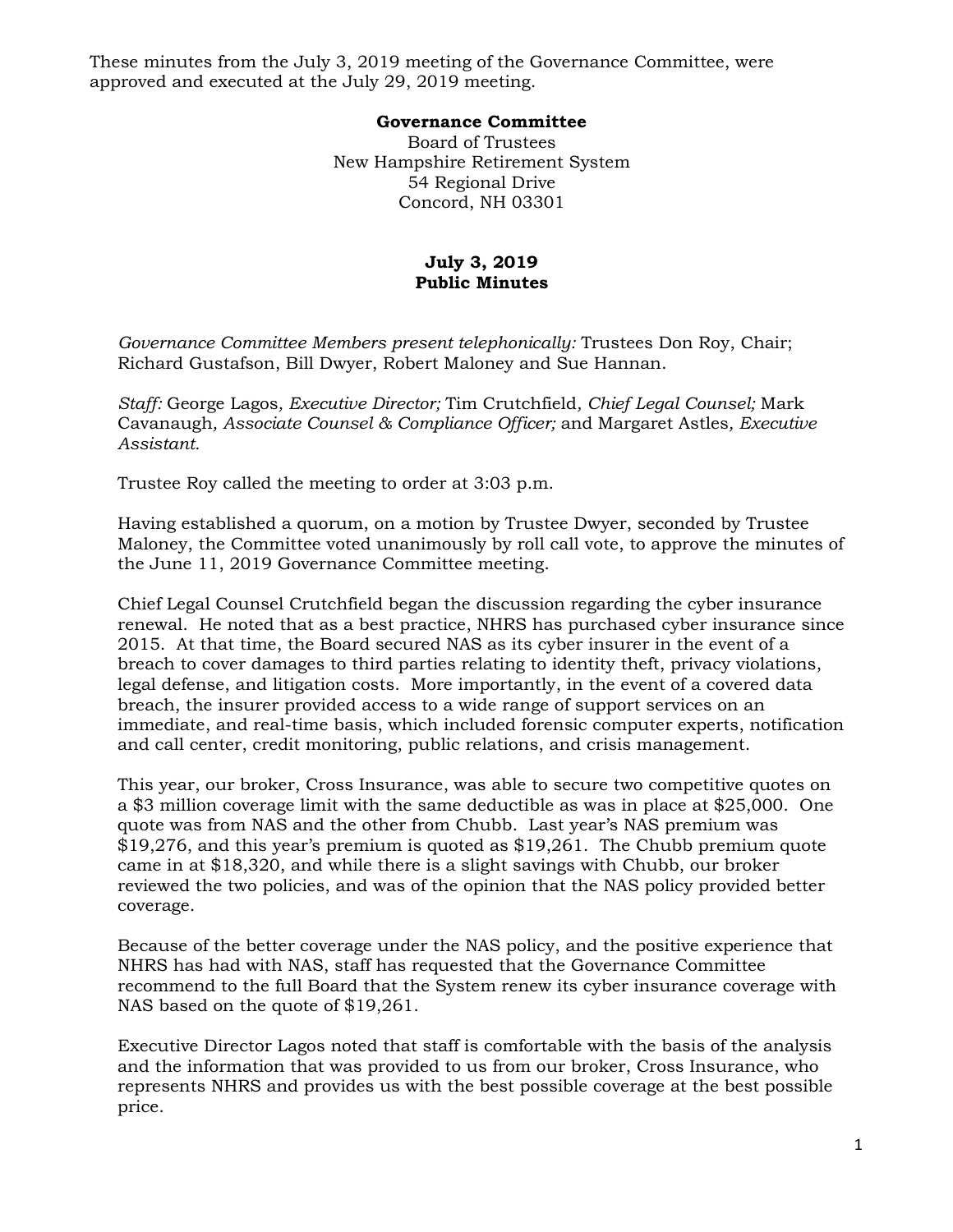These minutes from the July 3, 2019 meeting of the Governance Committee, were approved and executed at the July 29, 2019 meeting.

## **Governance Committee**

Board of Trustees New Hampshire Retirement System 54 Regional Drive Concord, NH 03301

## **July 3, 2019 Public Minutes**

*Governance Committee Members present telephonically:* Trustees Don Roy, Chair; Richard Gustafson, Bill Dwyer, Robert Maloney and Sue Hannan.

*Staff:* George Lagos*, Executive Director;* Tim Crutchfield*, Chief Legal Counsel;* Mark Cavanaugh*, Associate Counsel & Compliance Officer;* and Margaret Astles*, Executive Assistant.* 

Trustee Roy called the meeting to order at 3:03 p.m.

Having established a quorum, on a motion by Trustee Dwyer, seconded by Trustee Maloney, the Committee voted unanimously by roll call vote, to approve the minutes of the June 11, 2019 Governance Committee meeting.

Chief Legal Counsel Crutchfield began the discussion regarding the cyber insurance renewal. He noted that as a best practice, NHRS has purchased cyber insurance since 2015. At that time, the Board secured NAS as its cyber insurer in the event of a breach to cover damages to third parties relating to identity theft, privacy violations, legal defense, and litigation costs. More importantly, in the event of a covered data breach, the insurer provided access to a wide range of support services on an immediate, and real-time basis, which included forensic computer experts, notification and call center, credit monitoring, public relations, and crisis management.

This year, our broker, Cross Insurance, was able to secure two competitive quotes on a \$3 million coverage limit with the same deductible as was in place at \$25,000. One quote was from NAS and the other from Chubb. Last year's NAS premium was \$19,276, and this year's premium is quoted as \$19,261. The Chubb premium quote came in at \$18,320, and while there is a slight savings with Chubb, our broker reviewed the two policies, and was of the opinion that the NAS policy provided better coverage.

Because of the better coverage under the NAS policy, and the positive experience that NHRS has had with NAS, staff has requested that the Governance Committee recommend to the full Board that the System renew its cyber insurance coverage with NAS based on the quote of \$19,261.

Executive Director Lagos noted that staff is comfortable with the basis of the analysis and the information that was provided to us from our broker, Cross Insurance, who represents NHRS and provides us with the best possible coverage at the best possible price.